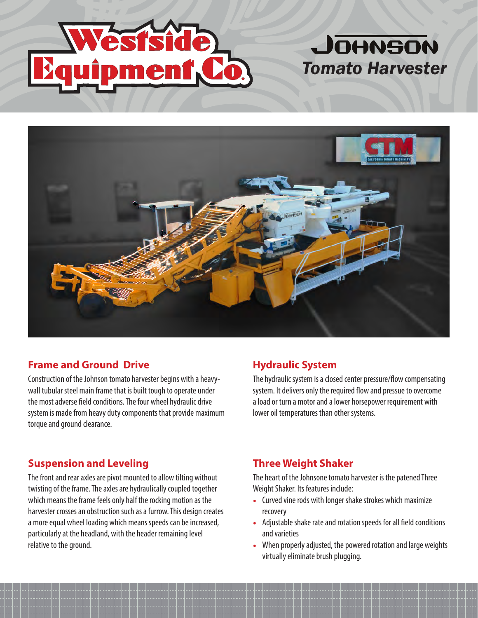



## **Frame and Ground Drive**

Construction of the Johnson tomato harvester begins with a heavywall tubular steel main frame that is built tough to operate under the most adverse field conditions. The four wheel hydraulic drive system is made from heavy duty components that provide maximum torque and ground clearance.

## **Hydraulic System**

The hydraulic system is a closed center pressure/flow compensating system. It delivers only the required flow and pressue to overcome a load or turn a motor and a lower horsepower requirement with lower oil temperatures than other systems.

## **Suspension and Leveling**

The front and rear axles are pivot mounted to allow tilting without twisting of the frame. The axles are hydraulically coupled together which means the frame feels only half the rocking motion as the harvester crosses an obstruction such as a furrow. This design creates a more equal wheel loading which means speeds can be increased, particularly at the headland, with the header remaining level relative to the ground.

## **Three Weight Shaker**

The heart of the Johnsone tomato harvester is the patened Three Weight Shaker. Its features include:

- **•** Curved vine rods with longer shake strokes which maximize recovery
- **•** Adjustable shake rate and rotation speeds for all field conditions and varieties
- **•** When properly adjusted, the powered rotation and large weights virtually eliminate brush plugging.